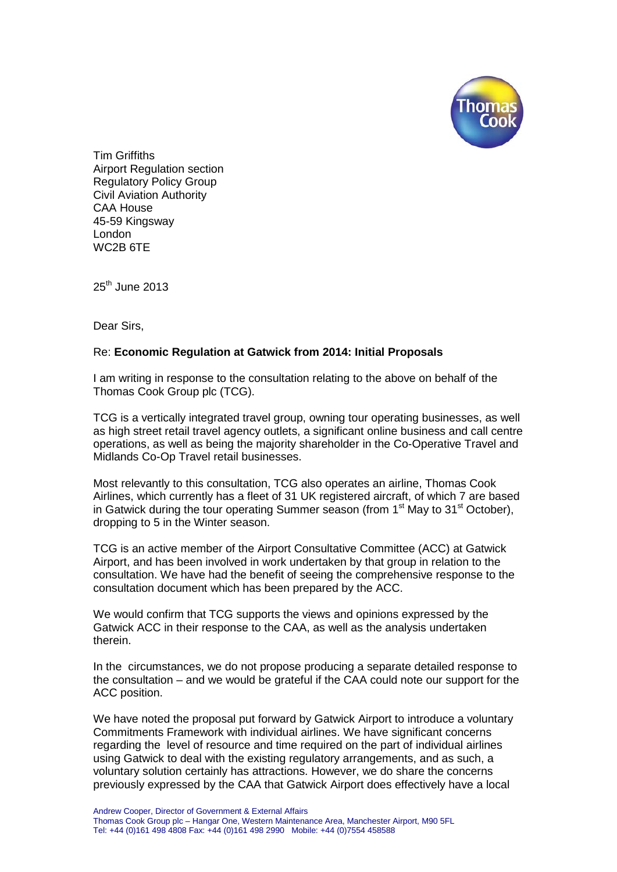

Tim Griffiths Airport Regulation section Regulatory Policy Group Civil Aviation Authority CAA House 45-59 Kingsway London WC2B 6TE

 $25<sup>th</sup>$  June 2013

Dear Sirs,

## Re: **Economic Regulation at Gatwick from 2014: Initial Proposals**

I am writing in response to the consultation relating to the above on behalf of the Thomas Cook Group plc (TCG).

TCG is a vertically integrated travel group, owning tour operating businesses, as well as high street retail travel agency outlets, a significant online business and call centre operations, as well as being the majority shareholder in the Co-Operative Travel and Midlands Co-Op Travel retail businesses.

Most relevantly to this consultation, TCG also operates an airline, Thomas Cook Airlines, which currently has a fleet of 31 UK registered aircraft, of which 7 are based in Gatwick during the tour operating Summer season (from  $1<sup>st</sup>$  May to  $31<sup>st</sup>$  October), dropping to 5 in the Winter season.

TCG is an active member of the Airport Consultative Committee (ACC) at Gatwick Airport, and has been involved in work undertaken by that group in relation to the consultation. We have had the benefit of seeing the comprehensive response to the consultation document which has been prepared by the ACC.

We would confirm that TCG supports the views and opinions expressed by the Gatwick ACC in their response to the CAA, as well as the analysis undertaken therein.

In the circumstances, we do not propose producing a separate detailed response to the consultation – and we would be grateful if the CAA could note our support for the ACC position.

We have noted the proposal put forward by Gatwick Airport to introduce a voluntary Commitments Framework with individual airlines. We have significant concerns regarding the level of resource and time required on the part of individual airlines using Gatwick to deal with the existing regulatory arrangements, and as such, a voluntary solution certainly has attractions. However, we do share the concerns previously expressed by the CAA that Gatwick Airport does effectively have a local